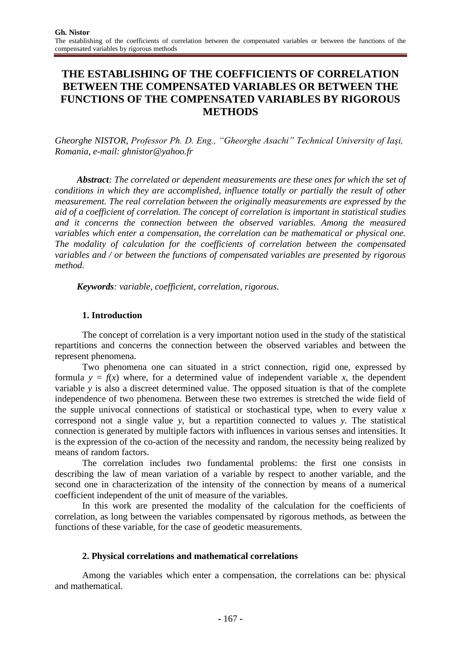# **THE ESTABLISHING OF THE COEFFICIENTS OF CORRELATION BETWEEN THE COMPENSATED VARIABLES OR BETWEEN THE FUNCTIONS OF THE COMPENSATED VARIABLES BY RIGOROUS METHODS**

*Gheorghe NISTOR*, *Professor Ph. D. Eng., "Gheorghe Asachi" Technical University of Iaşi, Romania, e-mail: ghnistor@yahoo.fr*

*Abstract: The correlated or dependent measurements are these ones for which the set of conditions in which they are accomplished, influence totally or partially the result of other measurement. The real correlation between the originally measurements are expressed by the aid of a coefficient of correlation. The concept of correlation is important in statistical studies and it concerns the connection between the observed variables. Among the measured variables which enter a compensation, the correlation can be mathematical or physical one. The modality of calculation for the coefficients of correlation between the compensated variables and / or between the functions of compensated variables are presented by rigorous method.*

*Keywords: variable, coefficient, correlation, rigorous.*

### **1. Introduction**

The concept of correlation is a very important notion used in the study of the statistical repartitions and concerns the connection between the observed variables and between the represent phenomena.

Two phenomena one can situated in a strict connection, rigid one, expressed by formula  $y = f(x)$  where, for a determined value of independent variable *x*, the dependent variable *y* is also a discreet determined value. The opposed situation is that of the complete independence of two phenomena. Between these two extremes is stretched the wide field of the supple univocal connections of statistical or stochastical type, when to every value *x* correspond not a single value *y*, but a repartition connected to values *y*. The statistical connection is generated by multiple factors with influences in various senses and intensities. It is the expression of the co-action of the necessity and random, the necessity being realized by means of random factors.

The correlation includes two fundamental problems: the first one consists in describing the law of mean variation of a variable by respect to another variable, and the second one in characterization of the intensity of the connection by means of a numerical coefficient independent of the unit of measure of the variables.

In this work are presented the modality of the calculation for the coefficients of correlation, as long between the variables compensated by rigorous methods, as between the functions of these variable, for the case of geodetic measurements.

### **2. Physical correlations and mathematical correlations**

Among the variables which enter a compensation, the correlations can be: physical and mathematical.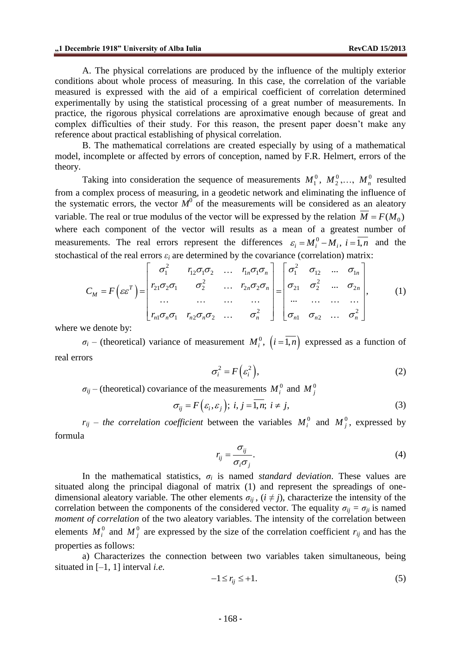A. The physical correlations are produced by the influence of the multiply exterior conditions about whole process of measuring. In this case, the correlation of the variable measured is expressed with the aid of a empirical coefficient of correlation determined experimentally by using the statistical processing of a great number of measurements. In practice, the rigorous physical correlations are aproximative enough because of great and complex difficulties of their study. For this reason, the present paper doesn't make any reference about practical establishing of physical correlation.

B. The mathematical correlations are created especially by using of a mathematical model, incomplete or affected by errors of conception, named by F.R. Helmert, errors of the theory.

Taking into consideration the sequence of measurements  $M_1^0$ ,  $M_2^0$ ,...,  $M_n^0$  resulted from a complex process of measuring, in a geodetic network and eliminating the influence of the systematic errors, the vector  $M^0$  of the measurements will be considered as an aleatory variable. The real or true modulus of the vector will be expressed by the relation  $M = F(M_0)$ where each component of the vector will results as a mean of a greatest number of measurements. The real errors represent the differences  $\varepsilon_i = M_i^0 - M_i$ ,  $i = \overline{1,n}$  and the stochastical of the real errors  $\varepsilon_i$  are determined by the covariance (correlation) matrix:<br>  $\begin{bmatrix} \sigma_1^2 & r_{12}\sigma_1\sigma_2 & \cdots & r_{1$ stochastical of the real errors  $\varepsilon_i$  are determined by the covariance (correlation) matrix:  $\epsilon_i$  are determined by the covariance<br>  $r_i$  are determined by the covariance<br>  $r_i^2$   $r_{i2}\sigma_i\sigma_2$  ...  $r_{i,n}\sigma_i\sigma_n$   $\sigma_i^2$ 

elements. The real errors represent the differences 
$$
\varepsilon_i = M_i^{\varepsilon} - M_i
$$
,  $i = 1, n$  and the  
\ntical of the real errors  $\varepsilon_i$  are determined by the covariance (correlation) matrix:

\n
$$
C_M = F\left(\varepsilon \varepsilon^T\right) = \begin{bmatrix} \sigma_1^2 & r_{12} \sigma_1 \sigma_2 & \dots & r_{1n} \sigma_1 \sigma_n \\ r_{21} \sigma_2 \sigma_1 & \sigma_2^2 & \dots & r_{2n} \sigma_2 \sigma_n \\ \dots & \dots & \dots & \dots \\ r_{n1} \sigma_n \sigma_1 & r_{n2} \sigma_n \sigma_2 & \dots & \sigma_n^2 \end{bmatrix} = \begin{bmatrix} \sigma_1^2 & \sigma_1 & \dots & \sigma_{1n} \\ \sigma_{21} & \sigma_2^2 & \dots & \sigma_{2n} \\ \dots & \dots & \dots & \dots \\ \sigma_{n1} & \sigma_{n2} & \dots & \sigma_n^2 \end{bmatrix}, \qquad (1)
$$
\nwe denote by:

where we denote by:

 $\sigma_i$  – (theoretical) variance of measurement  $M_i^0$ ,  $(i = \overline{1,n})$  expressed as a function of real errors

$$
\sigma_i^2 = F\left(\varepsilon_i^2\right),\tag{2}
$$

 $\sigma_{ij}$  – (theoretical) covariance of the measurements  $M_i^0$  and  $M_j^0$ 

$$
\sigma_{ij} = F\left(\varepsilon_i, \varepsilon_j\right); \ i, j = \overline{1, n}; \ i \neq j,
$$
\n(3)

 $r_{ij}$  – *the correlation coefficient* between the variables  $M_i^0$  and  $M_j^0$ , expressed by formula

$$
r_{ij} = \frac{\sigma_{ij}}{\sigma_i \sigma_j}.
$$
\n(4)

In the mathematical statistics,  $\sigma_i$  is named *standard deviation*. These values are situated along the principal diagonal of matrix (1) and represent the spreadings of onedimensional aleatory variable. The other elements  $\sigma_{ij}$ ,  $(i \neq j)$ , characterize the intensity of the correlation between the components of the considered vector. The equality  $\sigma_{ij} = \sigma_{ji}$  is named *moment of correlation* of the two aleatory variables. The intensity of the correlation between elements  $M_i^0$  and  $M_j^0$  are expressed by the size of the correlation coefficient  $r_{ij}$  and has the properties as follows:

a) Characterizes the connection between two variables taken simultaneous, being situated in [–1, 1] interval *i.e.*

$$
-1 \le r_{ij} \le +1. \tag{5}
$$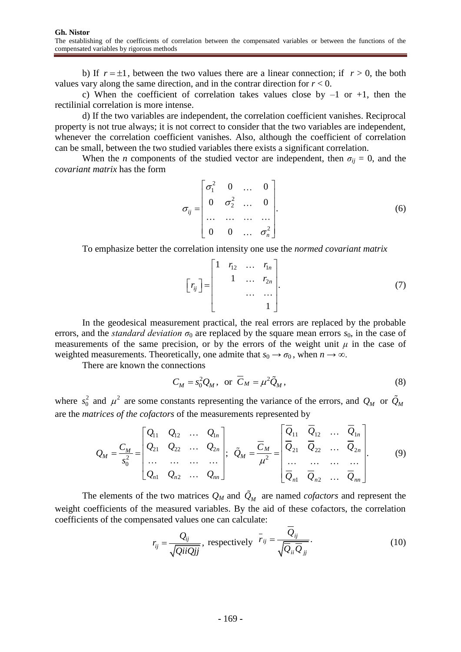b) If  $r = \pm 1$ , between the two values there are a linear connection; if  $r > 0$ , the both values vary along the same direction, and in the contrar direction for  $r < 0$ .

c) When the coefficient of correlation takes values close by  $-1$  or  $+1$ , then the rectilinial correlation is more intense.

d) If the two variables are independent, the correlation coefficient vanishes. Reciprocal property is not true always; it is not correct to consider that the two variables are independent, whenever the correlation coefficient vanishes. Also, although the coefficient of correlation can be small, between the two studied variables there exists a significant correlation.

When the *n* components of the studied vector are independent, then  $\sigma_{ij} = 0$ , and the *covariant matrix* has the form

$$
\sigma_{ij} = \begin{bmatrix} \sigma_1^2 & 0 & \dots & 0 \\ 0 & \sigma_2^2 & \dots & 0 \\ \dots & \dots & \dots & \dots \\ 0 & 0 & \dots & \sigma_n^2 \end{bmatrix} .
$$
 (6)

To emphasize better the correlation intensity one use the *normed covariant matrix*

$$
\begin{bmatrix} r_{ij} \end{bmatrix} = \begin{bmatrix} 1 & r_{12} & \dots & r_{1n} \\ & 1 & \dots & r_{2n} \\ & & \dots & \dots \\ & & & 1 \end{bmatrix}.
$$
 (7)

In the geodesical measurement practical, the real errors are replaced by the probable errors, and the *standard deviation*  $\sigma_0$  are replaced by the square mean errors  $s_0$ , in the case of measurements of the same precision, or by the errors of the weight unit  $\mu$  in the case of weighted measurements. Theoretically, one admite that  $s_0 \rightarrow \sigma_0$ , when  $n \rightarrow \infty$ .

There are known the connections

$$
C_M = s_0^2 Q_M, \text{ or } \overline{C}_M = \mu^2 \tilde{Q}_M,
$$
 (8)

where  $s_0^2$ 

where 
$$
s_0^2
$$
 and  $\mu^2$  are some constants representing the variance of the errors, and  $Q_M$  or  $\tilde{Q}_M$   
are the *matrices of the cofactors* of the measurements represented by  

$$
Q_M = \frac{C_M}{s_0^2} = \begin{bmatrix} Q_{11} & Q_{12} & \cdots & Q_{1n} \\ Q_{21} & Q_{22} & \cdots & Q_{2n} \\ \vdots & \vdots & \ddots & \vdots \\ Q_{n1} & Q_{n2} & \cdots & Q_{nn} \end{bmatrix}; \quad \tilde{Q}_M = \frac{\overline{C}_M}{\mu^2} = \begin{bmatrix} \overline{Q}_{11} & \overline{Q}_{12} & \cdots & \overline{Q}_{1n} \\ \overline{Q}_{21} & \overline{Q}_{22} & \cdots & \overline{Q}_{2n} \\ \vdots & \vdots & \ddots & \vdots \\ \overline{Q}_{n1} & \overline{Q}_{n2} & \cdots & \overline{Q}_{nn} \end{bmatrix}.
$$
(9)

The elements of the two matrices  $Q_M$  and  $Q_M$  are named *cofactors* and represent the weight coefficients of the measured variables. By the aid of these cofactors, the correlation coefficients of the compensated values one can calculate:

$$
r_{ij} = \frac{Q_{ij}}{\sqrt{QiiQjj}}, \text{ respectively } \overline{r}_{ij} = \frac{Q_{ij}}{\sqrt{\overline{Q}_{ii}\overline{Q}_{jj}}}.
$$
 (10)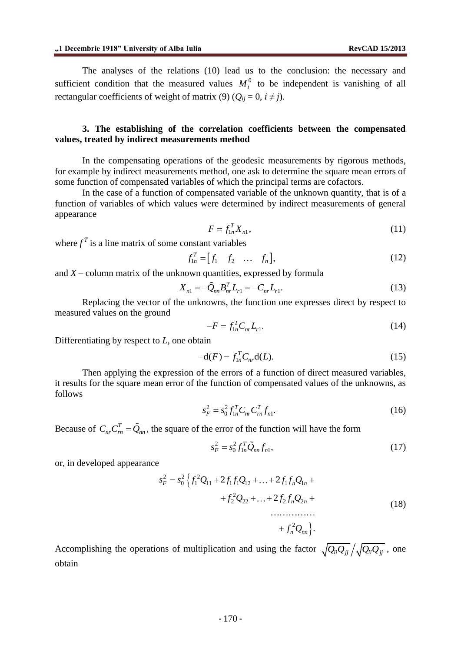The analyses of the relations (10) lead us to the conclusion: the necessary and sufficient condition that the measured values  $M_i^0$  to be independent is vanishing of all rectangular coefficients of weight of matrix (9) ( $Q_{ij} = 0$ ,  $i \neq j$ ).

### **3. The establishing of the correlation coefficients between the compensated values, treated by indirect measurements method**

In the compensating operations of the geodesic measurements by rigorous methods, for example by indirect measurements method, one ask to determine the square mean errors of some function of compensated variables of which the principal terms are cofactors.

In the case of a function of compensated variable of the unknown quantity, that is of a function of variables of which values were determined by indirect measurements of general appearance

$$
F = f_{1n}^T X_{n1},\tag{11}
$$

where  $f<sup>T</sup>$  is a line matrix of some constant variables

$$
f_{1n}^T = [f_1 \quad f_2 \quad \dots \quad f_n], \tag{12}
$$

and  $X$  – column matrix of the unknown quantities, expressed by formula

$$
X_{n1} = -\tilde{Q}_{nn}B_{nr}^{T}L_{r1} = -C_{nr}L_{r1}.
$$
\n(13)

Replacing the vector of the unknowns, the function one expresses direct by respect to measured values on the ground

$$
-F = f_{1n}^T C_{nr} L_{r1}.
$$
 (14)

Differentiating by respect to *L*, one obtain

$$
-d(F) = f_{1n}^T C_{nr} d(L).
$$
 (15)

Then applying the expression of the errors of a function of direct measured variables, it results for the square mean error of the function of compensated values of the unknowns, as follows

$$
s_F^2 = s_0^2 f_{1n}^T C_{nr} C_m^T f_{n1}.
$$
\n(16)

Because of  $C_{nr}C_{rn}^T = \tilde{Q}_{nn}$ , the square of the error of the function will have the form

$$
s_F^2 = s_0^2 f_{1n}^T \tilde{Q}_{nn} f_{n1},\tag{17}
$$

or, in developed appearance

$$
s_F^2 = s_0^2 \left\{ f_1^2 Q_{11} + 2 f_1 f_1 Q_{12} + \dots + 2 f_1 f_n Q_{1n} + f_2^2 Q_{22} + \dots + 2 f_2 f_n Q_{2n} + \dots + f_n^2 Q_{nn} \right\}.
$$
\n(18)

Accomplishing the operations of multiplication and using the factor  $\sqrt{Q_{ii}Q_{jj}}/\sqrt{Q_{ii}Q_{jj}}$ , one obtain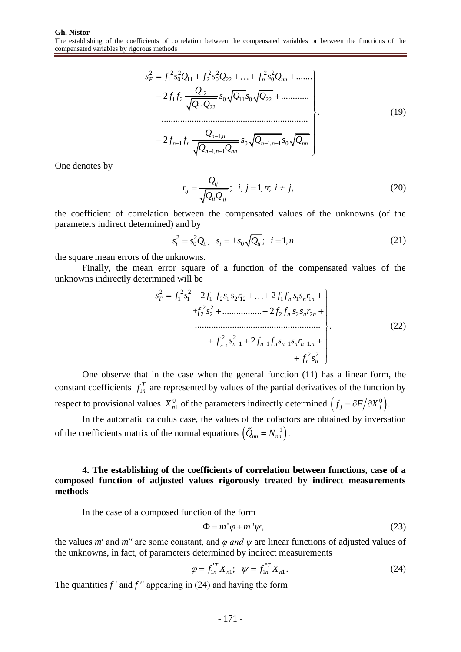$$
s_F^2 = f_1^2 s_0^2 Q_{11} + f_2^2 s_0^2 Q_{22} + \dots + f_n^2 s_0^2 Q_{nn} + \dots
$$
  
+ 
$$
2f_1 f_2 \frac{Q_{12}}{\sqrt{Q_{11} Q_{22}}} s_0 \sqrt{Q_{11}} s_0 \sqrt{Q_{22}} + \dots
$$
  
...  
+ 
$$
2f_{n-1} f_n \frac{Q_{n-1,n}}{\sqrt{Q_{n-1,n-1} Q_{nn}}} s_0 \sqrt{Q_{n-1,n-1}} s_0 \sqrt{Q_{nn}}
$$
  
(19)

One denotes by

$$
r_{ij} = \frac{Q_{ij}}{\sqrt{Q_{ii}Q_{jj}}}; \quad i, j = \overline{1, n}; \quad i \neq j,
$$
\n
$$
(20)
$$

the coefficient of correlation between the compensated values of the unknowns (of the parameters indirect determined) and by

$$
s_i^2 = s_0^2 Q_{ii}, \ \ s_i = \pm s_0 \sqrt{Q_{ii}}; \ \ i = \overline{1, n}
$$
 (21)

the square mean errors of the unknowns.

Finally, the mean error square of a function of the compensated values of the unknowns indirectly determined will be<br>  $s_r^2 = f_1^2 s_1^2 + 2$ 

mined will be  
\n
$$
s_F^2 = f_1^2 s_1^2 + 2 f_1 f_2 s_1 s_2 r_{12} + ... + 2 f_1 f_n s_1 s_n r_{1n} +\n+ f_2^2 s_2^2 + ... + 2 f_2 f_n s_2 s_n r_{2n} +\n... + f_{n-1}^2 s_{n-1}^2 + 2 f_{n-1} f_n s_{n-1} s_n r_{n-1,n} +\n+ f_n^2 s_n^2
$$
\n(22)

One observe that in the case when the general function (11) has a linear form, the constant coefficients  $f_1$ *T*  $f_{1n}^T$  are represented by values of the partial derivatives of the function by respect to provisional values  $X_{n1}^0$  of the parameters indirectly determined  $(f_j = \partial F / \partial X_j^0)$ .

In the automatic calculus case, the values of the cofactors are obtained by inversation of the coefficients matrix of the normal equations  $(\tilde{Q}_{nn} = N_{nn}^{-1})$ .

## **4. The establishing of the coefficients of correlation between functions, case of a composed function of adjusted values rigorously treated by indirect measurements methods**

In the case of a composed function of the form

$$
\Phi = m' \varphi + m'' \psi, \tag{23}
$$

the values *m*′ and *m*′′ are some constant, and *φ and ψ* are linear functions of adjusted values of the unknowns, in fact, of parameters determined by indirect measurements

$$
\varphi = f_{1n}^T X_{n1}; \quad \psi = f_{1n}^T X_{n1}.
$$
\n(24)

The quantities  $f'$  and  $f''$  appearing in (24) and having the form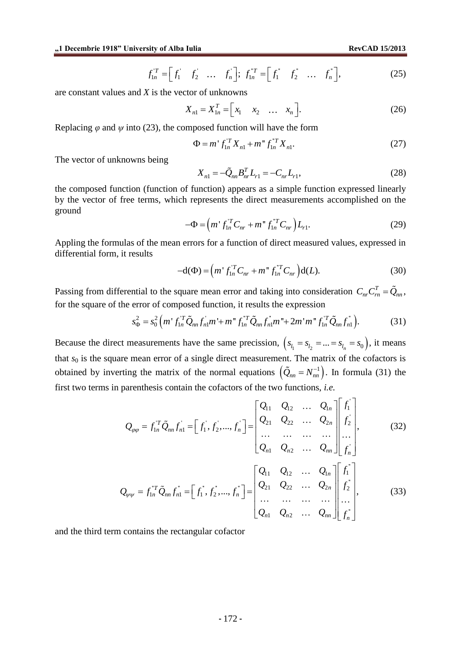$$
f_{1n}^{T} = \begin{bmatrix} f_1 & f_2 & \dots & f_n \end{bmatrix}; f_{1n}^{T} = \begin{bmatrix} f_1 & f_2 & \dots & f_n \end{bmatrix}, \qquad (25)
$$

are constant values and *X* is the vector of unknowns

$$
X_{n1} = X_{1n}^T = \begin{bmatrix} x_1 & x_2 & \dots & x_n \end{bmatrix}.
$$
 (26)

Replacing  $\varphi$  and  $\psi$  into (23), the composed function will have the form

$$
\Phi = m' f_{1n}^T X_{n1} + m'' f_{1n}^{T} X_{n1}.
$$
\n(27)

The vector of unknowns being

$$
X_{n1} = -\tilde{Q}_{nn}B_{nr}^{T}L_{r1} = -C_{nr}L_{r1},
$$
\n(28)

the composed function (function of function) appears as a simple function expressed linearly by the vector of free terms, which represents the direct measurements accomplished on the ground

$$
-\Phi = (m^{\dagger} f_{1n}^{\dagger T} C_{nr} + m^{\dagger} f_{1n}^{\dagger T} C_{nr}) L_{r1}.
$$
 (29)

Appling the formulas of the mean errors for a function of direct measured values, expressed in differential form, it results

$$
-d(\Phi) = \left(m^{\dagger} f_{1n}^{\dagger T} C_{nr} + m^{\dagger} f_{1n}^{\dagger T} C_{nr}\right) d(L). \tag{30}
$$

Passing from differential to the square mean error and taking into consideration  $C_{nr}C_{rn}^T = \tilde{Q}_{nn}$ , for the square of the error of composed function, it results the expression<br>  $s_{\theta}^2 = s_0^2 \left( m' f_{1\theta}^T \tilde{Q}_{nn} f_{n\theta}^T m' + m'' f_{1\theta}^T \tilde{Q}_{nn} f_{n\theta}^T m'' + 2m' m'' f_{1\theta}^T \tilde{Q}_{nn} f_{n\theta}^T m'' + m'' f_{1\theta}^T \tilde{Q}_{nn}^T m'' + m'' f_{1\theta}^T \tilde$ 

$$
s_{\Phi}^2 = s_0^2 \left( m' f_{1n}^T \tilde{Q}_{nn} f_{n1}^{\dagger} m' + m'' f_{1n}^T \tilde{Q}_{nn} f_{n1}^{\dagger} m'' + 2m' m'' f_{1n}^T \tilde{Q}_{nn} f_{n1}^{\dagger} \right).
$$
 (31)

Because the direct measurements have the same precission,  $(s_{l_1} = s_{l_2} = ... = s_{l_n} = s_0)$ , it means that  $s_0$  is the square mean error of a single direct measurement. The matrix of the cofactors is obtained by inverting the matrix of the normal equations  $(\tilde{Q}_{nn} = N_{nn}^{-1})$ . In formula (31) the first two terms in parenthesis contain the cofactors of the two functions, *i.e.*

perenthesis contain the cofactors of the two functions, *i.e.*

\n
$$
Q_{\varphi\varphi} = f_{1n}^{T} \tilde{Q}_{nn} f_{n1}^{+} = \begin{bmatrix} f_{1}^{+}, f_{2}^{+}, ..., f_{n}^{+} \end{bmatrix} = \begin{bmatrix} Q_{11} & Q_{12} & ... & Q_{1n} \\ Q_{21} & Q_{22} & ... & Q_{2n} \\ ... & ... & ... & ... \\ Q_{n1} & Q_{n2} & ... & Q_{nn} \end{bmatrix} \begin{bmatrix} f_{1}^{+} \\ f_{2}^{+} \\ \vdots \\ f_{n}^{+} \end{bmatrix}, \qquad (32)
$$
\n
$$
Q_{\varphi\psi} = f_{1n}^{T} \tilde{Q}_{nn} f_{n1}^{+} = \begin{bmatrix} f_{1}^{+}, f_{2}^{+}, ..., f_{n}^{+} \end{bmatrix} = \begin{bmatrix} Q_{11} & Q_{12} & ... & Q_{1n} \\ Q_{21} & Q_{22} & ... & Q_{2n} \\ \vdots \\ Q_{n1} & Q_{n2} & ... & \vdots \\ Q_{n2} & Q_{n2} & ... & \vdots \\ Q_{n3} & Q_{n2} & ... & Q_{nn} \end{bmatrix} \begin{bmatrix} f_{1}^{+} \\ f_{2}^{+} \\ \vdots \\ f_{n}^{+} \end{bmatrix}, \qquad (33)
$$

and the third term contains the rectangular cofactor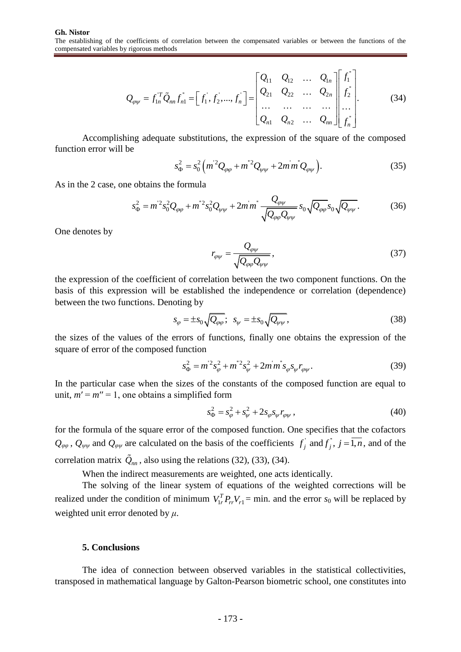y rigorous methods  
\n
$$
Q_{\varphi\psi} = f_{1n}^T \tilde{Q}_{nn} f_{n1}^{\dagger} = \begin{bmatrix} f_1^{\dagger}, f_2^{\dagger}, \dots, f_n^{\dagger} \end{bmatrix} = \begin{bmatrix} Q_{11} & Q_{12} & \dots & Q_{1n} \\ Q_{21} & Q_{22} & \dots & Q_{2n} \\ \dots & \dots & \dots & \dots \\ Q_{n1} & Q_{n2} & \dots & Q_{nn} \end{bmatrix} \begin{bmatrix} f_1^{\dagger} \\ f_2^{\dagger} \\ \dots \\ f_n^{\dagger} \end{bmatrix}.
$$
\n(34)

Accomplishing adequate substitutions, the expression of the square of the composed function error will be

$$
s_{\Phi}^2 = s_0^2 \left( m^2 Q_{\varphi\varphi} + m^2 Q_{\psi\psi} + 2m m^2 Q_{\varphi\psi} \right).
$$
 (35)

As in the 2 case, one obtains the formula

$$
\text{obtains the formula}
$$
\n
$$
s_{\Phi}^{2} = m^{2} s_{0}^{2} Q_{\varphi\varphi} + m^{2} s_{0}^{2} Q_{\psi\psi} + 2m m^{2} \frac{Q_{\varphi\psi}}{\sqrt{Q_{\varphi\varphi} Q_{\psi\psi}}} s_{0} \sqrt{Q_{\varphi\varphi}} s_{0} \sqrt{Q_{\psi\psi}}.
$$
\n(36)

One denotes by

$$
r_{\varphi\psi} = \frac{Q_{\varphi\psi}}{\sqrt{Q_{\varphi\varphi}Q_{\psi\psi}}},\tag{37}
$$

the expression of the coefficient of correlation between the two component functions. On the basis of this expression will be established the independence or correlation (dependence) between the two functions. Denoting by

$$
s_{\varphi} = \pm s_0 \sqrt{Q_{\varphi\varphi}}; \quad s_{\psi} = \pm s_0 \sqrt{Q_{\psi\psi}}, \tag{38}
$$

the sizes of the values of the errors of functions, finally one obtains the expression of the square of error of the composed function

$$
s_{\Phi}^2 = m^2 s_{\varphi}^2 + m^2 s_{\psi}^2 + 2m m^2 s_{\varphi} s_{\psi} r_{\varphi \psi}.
$$
 (39)

In the particular case when the sizes of the constants of the composed function are equal to unit,  $m' = m'' = 1$ , one obtains a simplified form

$$
s_{\Phi}^2 = s_{\varphi}^2 + s_{\psi}^2 + 2s_{\varphi}s_{\psi}r_{\varphi\psi},
$$
\n(40)

for the formula of the square error of the composed function. One specifies that the cofactors  $Q_{\varphi\varphi}$ ,  $Q_{\varphi\psi}$  and  $Q_{\varphi\psi}$  are calculated on the basis of the coefficients  $f_j$  and  $f_j$ ,  $j = \overline{1,n}$ , and of the correlation matrix  $Q_{nn}$ , also using the relations (32), (33), (34).

When the indirect measurements are weighted, one acts identically.

The solving of the linear system of equations of the weighted corrections will be realized under the condition of minimum  $V_{1r}^T P_{rr} V_{r1}$  = min. and the error  $s_0$  will be replaced by weighted unit error denoted by *μ*.

#### **5. Conclusions**

The idea of connection between observed variables in the statistical collectivities, transposed in mathematical language by Galton-Pearson biometric school, one constitutes into